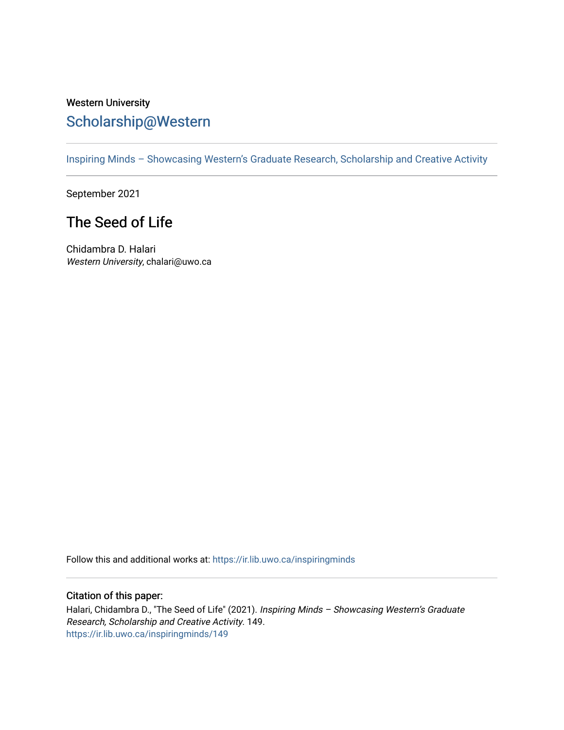## Western University [Scholarship@Western](https://ir.lib.uwo.ca/)

[Inspiring Minds – Showcasing Western's Graduate Research, Scholarship and Creative Activity](https://ir.lib.uwo.ca/inspiringminds) 

September 2021

## The Seed of Life

Chidambra D. Halari Western University, chalari@uwo.ca

Follow this and additional works at: [https://ir.lib.uwo.ca/inspiringminds](https://ir.lib.uwo.ca/inspiringminds?utm_source=ir.lib.uwo.ca%2Finspiringminds%2F149&utm_medium=PDF&utm_campaign=PDFCoverPages) 

## Citation of this paper:

Halari, Chidambra D., "The Seed of Life" (2021). Inspiring Minds - Showcasing Western's Graduate Research, Scholarship and Creative Activity. 149. [https://ir.lib.uwo.ca/inspiringminds/149](https://ir.lib.uwo.ca/inspiringminds/149?utm_source=ir.lib.uwo.ca%2Finspiringminds%2F149&utm_medium=PDF&utm_campaign=PDFCoverPages)